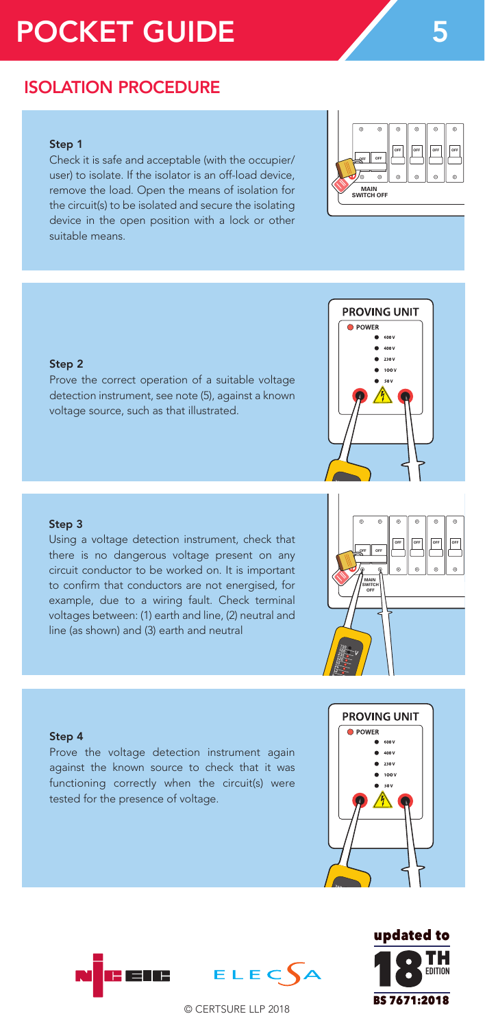# POCKET GUIDE 5

## ISOLATION PROCEDURE

#### Step 1

Check it is safe and acceptable (with the occupier/ user) to isolate. If the isolator is an off-load device, remove the load. Open the means of isolation for the circuit(s) to be isolated and secure the isolating device in the open position with a lock or other suitable means.

#### Step 2

Prove the correct operation of a suitable voltage detection instrument, see note (5), against a known voltage source, such as that illustrated.

#### Step 3

Using a voltage detection instrument, check that there is no dangerous voltage present on any circuit conductor to be worked on. It is important to confirm that conductors are not energised, for example, due to a wiring fault. Check terminal voltages between: (1) earth and line, (2) neutral and line (as shown) and (3) earth and neutral

#### Step 4

Prove the voltage detection instrument again against the known source to check that it was functioning correctly when the circuit(s) were tested for the presence of voltage.

ENE





© CERTSURE LLP 2018

ELECA



**OFF OFF OFF**

**MAIN SWITCH OFF**

**OFF OFF OFF OFF**